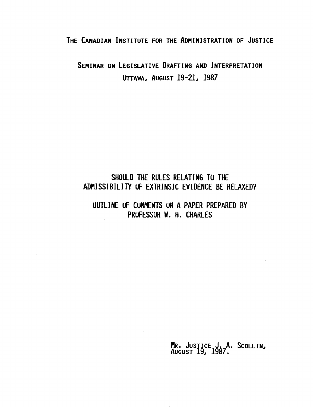### THE CANADIAN INSTITUTE FOR THE ADMINISTRATION OF JUSTICE

SEMINAR ON LEGISLATIVE DRAFTING AND INTERPRETATION UTTAWA, AUGUST 19-21, 1987

## SHOULD THE RULES RELATING TO THE ADMISSIBILITY UF EXTRINSIC EVIDENCE BE RELAXED?

### OUTLINE Uf COMMENTS UN APAPER PREPARED BY PROFESSUR W. H. CHARLES

MR. JUSTICE J. A. SCOLLIN,<br>AUGUST 19, 1987.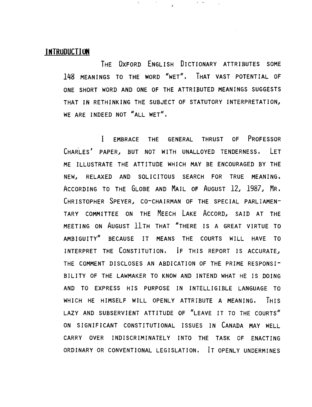#### **INTRUDUCTION**

THE OXFORD ENGLISH DICTIONARY ATTRIBUTES SOME 148 MEANINGS TO THE WORD "WET". THAT VAST POTENTIAL OF ONE SHORT WORD AND ONE OF THE ATTRIBUTED MEANINGS SUGGESTS THAT IN RETHINKING THE SUBJECT OF STATUTORY INTERPRETATION, WE ARE INDEED NOT "ALL WET".

 $\alpha=0.5$ 

I EMBRACE THE GENERAL THRUST OF PROFESSOR CHARLES' PAPER, BUT NOT WITH UNALLOYED TENDERNESS. LET ME ILLUSTRATE THE ATTITUDE WHICH MAY BE ENCOURAGED BY THE NEW, RELAXED AND SOLICITOUS SEARCH FOR TRUE MEANING. ACCORDING TO THE GLOBE AND MAIL OF AUGUST 12, 1987, MR. CHRISTOPHER SPEYER, CO-CHAIRMAN OF THE SPECIAL PARLIAMEN-TARY COMMITTEE ON THE MEECH LAKE ACCORD, SAID AT THE MEETING ON AUGUST 11TH THAT "THERE IS A GREAT VIRTUE TO AMBIGUITY" BECAUSE IT MEANS THE COURTS WILL HAVE TO INTERPRET THE CONSTITUTION. IF THIS REPORT IS ACCURATE, THE COMMENT DISCLOSES AN ABDICATION OF THE PRIME RESPONSI-BILITY OF THE LAWMAKER TO KNOW AND INTEND WHAT HE IS DOING AND TO EXPRESS HIS PURPOSE IN INTELLIGIBLE LANGUAGE TO WHICH HE HIMSELF WILL OPENLY ATTRIBUTE A MEANING. THIS LAZY AND SUBSERVIENT ATTITUDE OF "LEAVE IT TO THE COURTS" ON SIGNIFICANT CONSTITUTIONAL ISSUES IN CANADA MAY WELL CARRY OVER INDISCRIMINATELY INTO THE TASK OF ENACTING ORDINARY OR CONVENTIONAL LEGISLATION. IT OPENLY UNDERMINES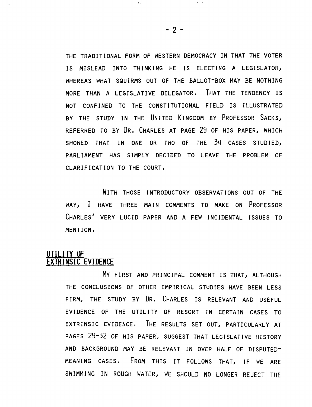THE TRADITIONAL FORM OF WESTERN DEMOCRACY IN THAT THE VOTER IS MISLEAD INTO THINKING HE IS ELECTING A LEGISLATOR, WHEREAS WHAT SQUIRMS OUT OF THE BALLOT-BOX MAY BE NOTHING MORE THAN A LEGISLATIVE DELEGATOR. THAT THE TENDENCY IS NOT CONFINED TO THE CONSTITUTIONAL FIELD IS ILLUSTRATED BY THE STUDY IN THE UNITED KINGDOM BY PROFESSOR SACKS, REFERRED TO BY DR. CHARLES AT PAGE 29 OF HIS PAPERJ WHICH SHOWED THAT IN ONE OR TWO OF THE 34 CASES STUDIED. PARLIAMENT HAS SIMPLY DECIDED TO LEAVE THE PROBLEM OF CLARIFICATION TO THE COURT.

WITH THOSE INTRODUCTORY OBSERVATIONS OUT OF THE WAYJ I HAVE THREE MAIN COMMENTS TO MAKE ON PROFESSOR CHARLES' VERY LUCID PAPER AND A FEW INCIDENTAL ISSUES TO MENTION.

### **UTILITY OF EXTRINSIC EVIDENCE**

MY FIRST AND PRINCIPAL COMMENT IS THAT, ALTHOUGH THE CONCLUSIONS OF OTHER EMPIRICAL STUDIES HAVE BEEN LESS FIRM, THE STUDY BY DR. CHARLES IS RELEVANT AND USEFUL EVIDENCE OF THE UTILITY OF RESORT IN CERTAIN CASES TO EXTRINSIC EVIDENCE. THE RESULTS SET OUT, PARTICULARLY AT PAGES 29-32 OF HIS PAPER, SUGGEST THAT LEGISLATIVE HISTORY AND BACKGROUND MAY BE RELEVANT IN OVER HALF OF DISPUTED-MEANING CASES. FROM THIS IT FOLLOWS THATJ IF WE ARE SWIMMING IN ROUGH WATER, WE SHOULD NO LONGER REJECT THE

 $\mathbf{r} = \mathbf{r} \mathbf{r}$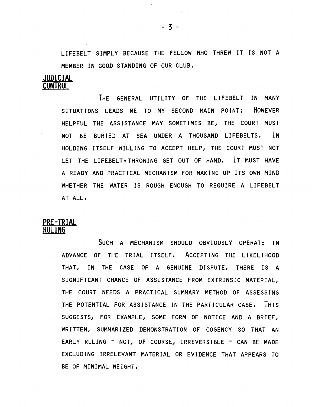LIFEBELT SIMPLY BECAUSE THE FELLOW WHO THREW IT IS NOT A MEMBER IN GOOD STANDING OF OUR CLUB.

#### JUDICIAl CONTROl

THE GENERAL UTILITY OF THE LIFEBELT IN MANY SITUATIONS LEADS ME TO MY SECOND MAIN POINT: HOWEVER HELPFUL THE ASSISTANCE MAY SOMETIMES BE, THE COURT MUST NOT BE BURIED AT SEA UNDER A THOUSAND LIFEBELTS. IN HOLDING ITSELF WILLING TO ACCEPT HELP, THE COURT MUST NOT LET THE LIFEBELT-THROWING GET OUT OF HAND. IT MUST HAVE A READY AND PRACTICAL MECHANISM FOR MAKING UP ITS OWN MIND WHETHER THE WATER IS ROUGH ENOUGH TO REQUIRE A LIFEBELT AT ALL.

#### PRE-TRIAL RULING

SUCH A MECHANISM SHOULD OBVIOUSLY OPERATE IN ADVANCE OF THE TRIAL ITSELF. ACCEPTING THE LIKELIHOOD THAT, IN THE CASE OF A GENUINE DISPUTE, THERE IS A SIGNIFICANT CHANCE OF ASSISTANCE FROM EXTRINSIC MATERIAL, THE COURT NEEDS A PRACTICAL SUMMARY METHOD OF ASSESSING THE POTENTIAL FOR ASSISTANCE IN THE PARTICULAR CASE. THIS SUGGESTS, FOR EXAMPLE, SOME FORM OF NOTICE AND A BRIEF, WRITTEN, SUMMARIZED DEMONSTRATION OF COGENCY SO THAT AN EARLY RULING - NOT, OF COURSE, IRREVERSIBLE - CAN BE MADE EXCLUDING IRRELEVANT MATERIAL OR EVIDENCE THAT APPEARS TO BE OF MINIMAL WEIGHT.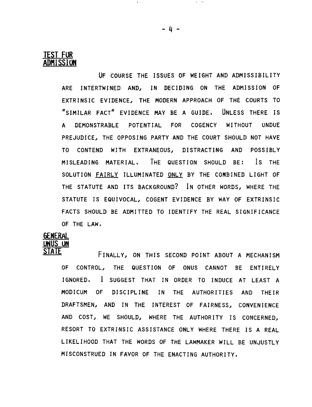

UF COURSE THE ISSUES OF WEIGHT AND ADMISSIBILITY ARE INTERTWINED AND, IN DECIDING ON THE ADMISSION OF EXTRINSIC EVIDENCE, THE MODERN APPROACH OF THE COURTS TO "SIMILAR FACT" EVIDENCE MAY BE A GUIDE. UNLESS THERE IS A DEMONSTRABLE POTENT IAL FOR COGENCY WITHOUT UNDUE PREJUDICE, THE OPPOSING PARTY AND THE COURT SHOULD NOT HAVE TO CONTEND WITH EXTRANEOUSJ DISTRACTING AND POSSIBLY MISLEADING MATERIAL. THE QUESTION SHOULD BE: Is THE SOLUTION FAIRLY ILLUMINATED ONLY BY THE COMBINED LIGHT OF THE STATUTE AND ITS BACKGROUND? IN OTHER WORDS, WHERE THE STATUTE IS EQUIVOCAL, COGENT EVIDENCE BY WAY OF EXTRINSIC FACTS SHOULD BE ADMITTED TO IDENTIFY THE REAL SIGNIFICANCE OF THE LAW.

# **GENERAL ONUS UN**

FINALLY, ON THIS SECOND POINT ABOUT A MECHANISM OF CONTROLJ THE QUESTION OF ONUS CANNOT BE ENTIRELY IGNORED. I SUGGEST THAT IN ORDER TO INDUCE AT LEAST A MODICUM OF DISCIPLINE IN THE AUTHORITIES AND THEIR DRAFTSMEN, AND IN THE INTEREST OF FAIRNESS, CONVENIENCE AND COST, WE SHOULD, WHERE THE AUTHORITY IS CONCERNED, RESORT TO EXTRINSIC ASSISTANCE ONLY WHERE THERE IS A REAL LIKELIHOOD THAT THE WORDS OF THE LAWMAKER WILL BE UNJUSTLY MISCONSTRUED IN FAVOR OF THE ENACTING AUTHORITY.

 $\Gamma$  is a set of  $\Gamma$  -  $\Gamma$  is a set of  $\Gamma$  -  $\Gamma$  -  $\Gamma$  -  $\Gamma$  -  $\Gamma$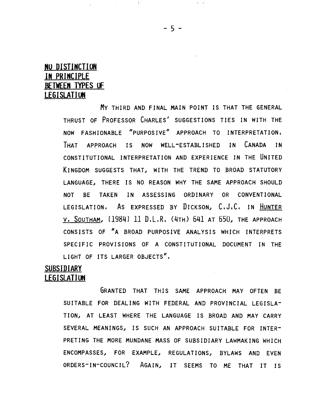### NO DISTINCTION IN PRINCIPLE BETWEEN TYPES OF LEGISLATION

 $\sim 10^{-1}$ 

 $\sim 100$  km s  $\sim 100$ 

My THIRD AND FINAL MAIN POINT IS THAT THE GENERAL THRUST OF PROFESSOR CHARLES' SUGGESTIONS TIES IN WITH THE NOW FASHIONABLE "PURPOSIVE" APPROACH TO INTERPRETATION. THAT APPROACH IS NOW WELL-ESTABLISHED IN CANADA IN CONSTITUTIONAL INTERPRETATION AND EXPERIENCE IN THE UNITED KINGDOM SUGGESTS THAT, WITH THE TREND TO BROAD STATUTORY LANGUAGE.I THERE IS NO REASON WHY THE SAME APPROACH SHOULD NOT BE TAKEN IN ASSESSING ORDINARY OR CONVENTIONAL LEGISLATION. AS EXPRESSED BY DICKSON, C.J.C. IN HUNTER V. SOUTHAM.I [1984] 11 D.L.R. (4TH) 641 AT *650.1* THE APPROACH CONSISTS OF "A BROAD PURPOSIVE ANALYSIS WHICH INTERPRETS SPECIFIC PROVISIONS OF A CONSTITUTIONAL DOCUMENT IN THE LIGHT OF ITS LARGER OBJECTS".

### <u>SUBSIDIARY</u> LEGISLATION

GRANTED THAT THIS SAME APPROACH MAY OFTEN BE SUITABLE FOR DEALING WITH FEDERAL AND PROVINCIAL LEGISLA-TION, AT LEAST WHERE THE LANGUAGE IS BROAD AND MAY CARRY SEVERAL MEANINGS, IS SUCH AN APPROACH SUITABLE FOR INTER-PRETING THE MORE MUNDANE MASS OF SUBSIDIARY LAWMAKING WHICH ENCOMPASSES, FOR EXAMPLE, REGULATIONS, BYLAWS AND EVEN ORDERS-IN-COUNCIL? AGAIN, IT SEEMS TO ME THAT IT IS

- 5

 $\mathbf{r} = \mathbf{w}$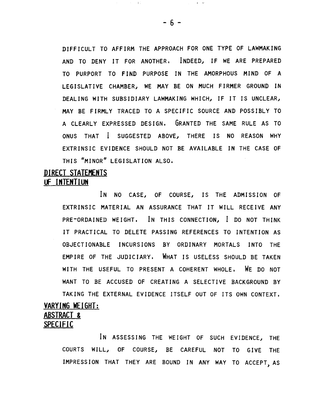DIFFICULT TO AFFIRM THE APPROACH FOR ONE TYPE OF LAWMAKING AND TO DENY IT FOR ANOTHER, INDEED, IF WE ARE PREPARED TO PURPORT TO FIND PURPOSE IN THE AMORPHOUS MIND OF A LEGISLATIVE CHAMBER, WE MAY BE ON MUCH FIRMER GROUND IN DEALING WITH SUBSIDIARY LAWMAKING WHICH, IF IT IS UNCLEAR, MAY BE FIRMLY TRACED TO A SPECIFIC SOURCE AND POSSIBLY TO A CLEARLY EXPRESSED DES IGN, GRANTED THE SAME RULE AS TO ONUS THAT I SUGGESTED ABOVE, THERE IS NO REASON WHY EXTRINSIC EVIDENCE SHOULD NOT BE AVAILABLE IN THE CASE OF THIS "MINOR" LEGISLATION ALSO.

### DIRECT STATEMENTS IF INTENTIUN

IN NO CASE, OF COURSE, IS THE ADMISSION OF EXTRINSIC MATERIAL AN ASSURANCE THAT IT WILL RECEIVE ANY PRE-ORDAINED WEIGHT, IN THIS CONNECTION, I DO NOT THINK IT PRACTICAL TO DELETE PASSING REFERENCES TO INTENTION AS OBJECTIONABLE INCURSIONS BY ORDINARY MORTALS INTO THE EMPIRE OF THE JUDICIARY, WHAT IS USELESS SHOULD BE TAKEN WITH THE USEFUL TO PRESENT A COHERENT WHOLE. WE DO NOT WANT TO BE ACCUSED OF CREATING A SELECTIVE BACKGROUND BY TAKING THE EXTERNAL EVIDENCE ITSELF OUT OF ITS OWN CONTEXT, VARYING WEIGHT:

### ABSTRACT & SPECIFIC

IN ASSESSING THE WEIGHT OF SUCH EVIDENCE, THE COURTS WILL, OF COURSE, BE CAREFUL NOT TO GIVE THE IMPRESSION THAT THEY ARE BOUND IN ANY WAY TO ACCEPT AS

 $\alpha = \alpha$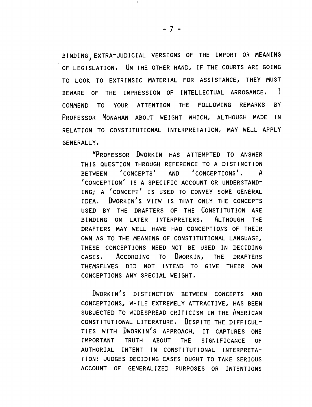BINDING, EXTRA-JUDICIAL VERSIONS OF THE IMPORT OR MEANING OF LEGISLATION. UN THE OTHER HAND, IF THE COURTS ARE GOING TO LOOK TO EXTRINSIC MATERIAL FOR ASSISTANCE, THEY MUST BEWARE OF THE IMPRESSION OF INTELLECTUAL ARROGANCE. I COMMEND TO YOUR ATTENTION THE FOLLOWING REMARKS BY PROFESSOR MONAHAN ABOUT WEIGHT WHICH, ALTHOUGH MADE IN RELATION TO CONSTITUTIONAL INTERPRETATION, MAY WELL APPLY GENERALLY.

"PROFESSOR DWORKIN HAS ATTEMPTED TO ANSWER THIS QUESTION THROUGH REFERENCE TO A DISTINCTION BETWEEN 'CONCEPTS' AND 'CONCEPTIONS', A 'CONCEPTION' IS A SPECIFIC ACCOUNT OR UNDERSTAND-ING; A 'CONCEPT' IS USED TO CONVEY SOME GENERAL IDEA. DWORKIN'S VIEW IS THAT ONLY THE CONCEPTS USED BY THE DRAFTERS OF THE CONSTITUTION ARE BINDING ON LATER INTERPRETERS. ALTHOUGH THE DRAFTERS MAY WELL HAVE HAD CONCEPTIONS OF THEIR OWN AS TO THE MEANING OF CONSTITUTIONAL LANGUAGE, THESE CONCEPTIONS NEED NOT BE USED IN DECIDING CASES. ACCORDING TO DWORKINJ THE DRAFTERS THEMSELVES DID NOT INTEND TO GIVE THEIR OWN CONCEPTIONS ANY SPECIAL WEIGHT.

DWORKIN'S DISTINCTION BETWEEN CONCEPTS AND CONCEPTIONSJ WHILE EXTREMELY ATTRACTIVEJ HAS BEEN SUBJECTED TO WIDESPREAD CRITICISM IN THE AMERICAN CONSTITUTIONAL LITERATURE. DESPITE THE DIFFICUL-TIES WITH DWORKIN'S APPROACH, IT CAPTURES ONE IMPORTANT TRUTH ABOUT THE SIGNIFICANCE OF AUTHORIAL INTENT IN CONSTITUTIONAL INTERPRETA-TION: JUDGES DECIDING CASES OUGHT TO TAKE SERIOUS ACCOUNT OF GENERALIZED PURPOSES OR INTENTIONS

 $\mathbf{I}$ ,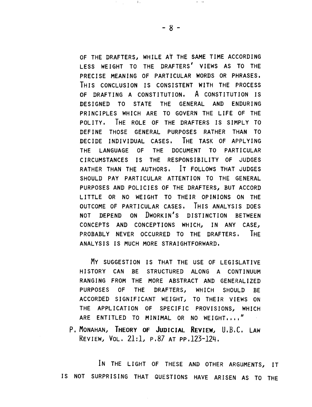OF THE DRAFTERS, WHILE AT THE SAME TIME ACCORDING LESS WEIGHT TO THE DRAFTERS' VIEWS AS TO THE PRECISE MEANING OF PARTICULAR WORDS OR PHRASES. THIS CONCLUSION IS CONSISTENT WITH THE PROCESS OF DRAFTING A CONSTITUTION. A CONSTITUTION IS DESIGNED TO STATE THE GENERAL AND ENDURING PRINCIPLES WHICH ARE TO GOVERN THE LIFE OF THE POLITY. THE ROLE OF THE DRAFTERS IS SIMPLY TO DEFINE THOSE GENERAL PURPOSES RATHER THAN TO DECIDE INDIVIDUAL CASES. THE TASK OF APPLYING THE LANGUAGE OF THE DOCUMENT TO PARTICULAR CIRCUMSTANCES IS THE RESPONSIBILITY OF JUDGES RATHER THAN THE AUTHORS. IT FOLLOWS THAT JUDGES SHOULD PAY PARTICULAR ATTENTION TO THE GENERAL PURPOSES AND POLICIES OF THE DRAFTERS, BUT ACCORD LITTLE OR NO WEIGHT TO THEIR OPINIONS ON THE OUTCOME OF PARTICULAR CASES. THIS ANALYSIS DOES NOT DEPEND ON DWORKIN'S DISTINCTION BETWEEN CONCEPTS AND CONCEPTIONS WHICH, IN ANY CASE, PROBABLY NEVER OCCURRED TO THE DRAFTERS. IHE ANALYSIS IS MUCH MORE STRAIGHTFORWARD,

MY SUGGESTION IS THAT THE USE OF LEGISLATIVE HISTORY CAN BE STRUCTURED ALONG A CONTINUUM RANGING FROM THE MORE ABSTRACT AND GENERALIZED PURPOSES OF THE DRAFTERS, WHICH SHOULD BE ACCORDED SIGNIFICANT WEIGHT, TO THEIR VIEWS ON THE APPLICATION OF SPECIFIC PROVISIONS, WHICH ARE ENTITLED TO MINIMAL OR NO WEIGHT,,,,"

P.MONAHAN, IHEORY OF JUDICIAL REVIEW, U.B.C. LAW REVIEW1 VOL, 21:1~ p,87 AT pp.123-124.

IN THE LIGHT OF THESE AND OTHER ARGUMENTS, IT IS NOT SURPRISING THAT QUESTIONS HAVE ARISEN AS TO THE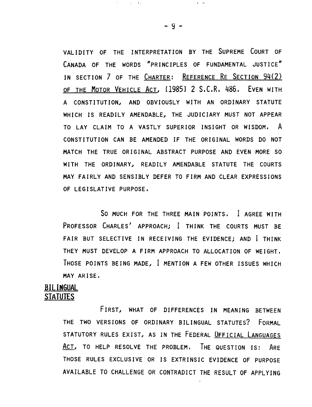VALIDITY OF THE INTERPRETATION BY THE SUPREME COURT OF CANADA OF THE WORDS "PRINCIPLES OF FUNDAMENTAL JUSTICE" IN SECTION 7 OF THE CHARTER: REFERENCE RE SECTION 94(2) OF THE MOTOR VEHICLE ACT, [1985] 2 S.C.R. 486. EVEN WITH A CONSTITUTIONI AND OBVIOUSLY WITH AN ORDINARY STATUTE WHICH IS READILY AMENDABLE, THE JUDICIARY MUST NOT APPEAR TO LAY CLAIM TO A VASTLY SUPERIOR INSIGHT OR WISDOM. A CONSTITUTION CAN BE AMENDED IF THE ORIGINAL WORDS DO NOT MATCH THE TRUE ORIGINAL ABSTRACT PURPOSE AND EVEN MORE SO WITH THE ORDINARY, READILY AMENDABLE STATUTE THE COURTS MAY FAIRLY AND SENSIBLY DEFER TO FIRM AND CLEAR EXPRESSIONS OF LEGISLATIVE PURPOSE.

SO MUCH FOR THE THREE MAIN POINTS. I AGREE WITH PROFESSOR CHARLES' APPROACH; I THINK THE COURTS MUST BE FAIR BUT SELECTIVE IN RECEIVING THE EVIDENCE; AND I THINK THEY MUST DEVELOP A FIRM APPROACH TO ALLOCATION OF WEIGHT. THOSE POINTS BEING MADE, I MENTION A FEW OTHER ISSUES WHICH MAY ARISE.

#### BILINGUAL STATUTES

FIRST, WHAT OF DIFFERENCES IN MEANING BETWEEN THE TWO VERSIONS OF ORDINARY BILINGUAL STATUTES? FORMAL STATUTORY RULES EXIST, AS IN THE FEDERAL OFFICIAL LANGUAGES ACT, TO HELP RESOLVE THE PROBLEM. THE QUESTION IS: ARE THOSE RULES EXCLUSIVE OR IS EXTRINSIC EVIDENCE OF PURPOSE AVAILABLE TO CHALLENGE OR CONTRADICT THE RESULT OF APPLYING

 $-9 -$ 

 $\mathbf{r} = \mathbf{r} \mathbf{r}$ 

,  $\sim 1\%$ 

 $\pm$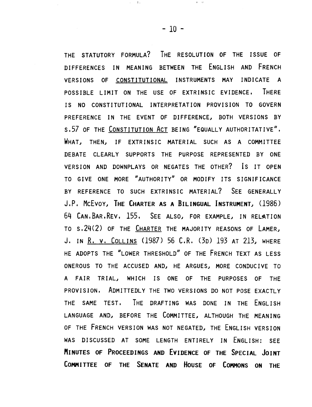THE STATUTORY FORMULA? THE RESOLUTION OF THE ISSUE OF DIFFERENCES IN MEANING BETWEEN THE ENGLISH AND FRENCH VERSIONS OF CONSTITUTIONAL INSTRUMENTS MAY INDICATE A POSSIBLE LIMIT ON THE USE OF EXTRINSIC EVIDENCE. THERE IS NO CONSTITUTIONAL INTERPRETATION PROVISION TO GOVERN PREFERENCE IN THE EVENT OF DIFFERENCE, BOTH VERSIONS BY s.57 OF THE CONSTITUTION ACT BEING "EQUALLY AUTHORITATIVE". WHAT, THEN, IF EXTRINSIC MATERIAL SUCH AS A COMMITTEE DEBATE CLEARLY SUPPORTS THE PURPOSE REPRESENTED BY ONE VERSION AND DOWNPLAYS OR NEGATES THE OTHER? Is IT OPEN TO GIVE ONE MORE "AUTHORITY" OR MODIFY ITS SIGNIFICANCE BY REFERENCE TO SUCH EXTRINSIC MATERIAL? SEE GENERALLY J.P. MCEVOY, THE CHARTER AS A BILINGUAL INSTRUMENT, (1986) 64 CAN.BAR.REV. 155. SEE ALSO, FOR EXAMPLE, IN RELATION TO S. 24(2) OF THE CHARTER THE MAJORITY REASONS OF LAMER, J. IN R. V. COLLINS (1987) 56 C.R. (3D) 193 AT 213, WHERE HE ADOPTS THE "LOWER THRESHOLD" OF THE FRENCH TEXT AS LESS ONEROUS TO THE ACCUSED AND, HE ARGUES, MORE CONDUCIVE TO A FAIR TRIAL~ WHICH IS ONE OF THE PURPOSES OF THE PROVISION. ADMITTEDLY THE TWO VERSIONS DO NOT POSE EXACTLY THE SAME TEST. THE DRAFTING WAS DONE IN THE ENGLISH LANGUAGE AND, BEFORE THE COMMITTEE, ALTHOUGH THE MEANING OF THE FRENCH VERSION WAS NOT NEGATED. THE ENGLISH VERSION WAS DISCUSSED AT SOME LENGTH ENTIRELY IN ENGLISH: SEE MINUTES OF PROCEEDINGS AND EVIDENCE OF THE SPECIAL JOINT COMMITTEE OF THE SENATE AND HOUSE OF COMMONS ON THE

 $\mathbf{r} = 0$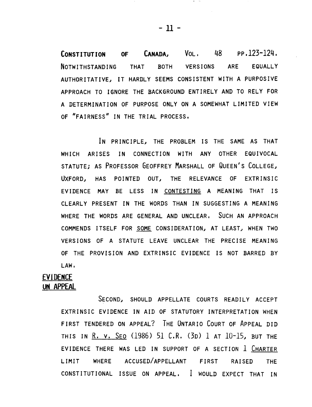CONSTITUTION OF CANADA, VOL. 48 PP.123-124. NOTWITHSTANDING THAT BOTH VERSIONS ARE EQUALLY AUTHORITATIVE, IT HARDLY SEEMS CONSISTENT WITH A PURPOSIVE APPROACH TO IGNORE THE BACKGROUND ENTIRELY AND TO RELY FOR A DETERMINATION OF PURPOSE ONLY ON A SOMEWHAT LIMITED VIEW OF "FAIRNESS" IN THE TRIAL PROCESS.

IN PRINCIPLE, THE PROBLEM IS THE SAME AS THAT WHICH ARISES IN CONNECTION WITH ANY OTHER EQUIVOCAL STATUTE; AS PROFESSOR GEOFFREY MARSHALL OF QUEEN'S COLLEGE, UXFORD, HAS POINTED OUT, THE RELEVANCE OF EXTRINSIC EVIDENCE MAY BE LESS IN CONTESTING A MEANING THAT IS CLEARLY PRESENT IN THE WORDS THAN IN SUGGESTING A MEANING WHERE THE WORDS ARE GENERAL AND UNCLEAR. SUCH AN APPROACH COMMENDS ITSELF FOR SOME CONSIDERATION, AT LEAST, WHEN TWO VERSIONS OF A STATUTE LEAVE UNCLEAR THE PRECISE MEANING OF THE PROVISION AND EXTRINSIC EVIDENCE IS NOT BARRED BY LAW.

### **EVIDENCE** UN APPEAL

SECOND, SHOULD APPELLATE COURTS READILY ACCEPT EXTRINSIC EVIDENCE IN AID OF STATUTORY INTERPRETATION WHEN FIRST TENDERED ON APPEAL? THE ONTARIO COURT OF ApPEAL DID THIS IN R. V. SEO (1986) 51 C.R. (3D) 1 AT  $10-15$ , BUT THE EVIDENCE THERE WAS LED IN SUPPORT OF A SECTION 1 CHARTER LIMIT WHERE ACCUSED/APPELLANT FIRST RAISED THE CONSTITUTIONAL ISSUE ON APPEAL. I WOULD EXPECT THAT IN

 $-11 -$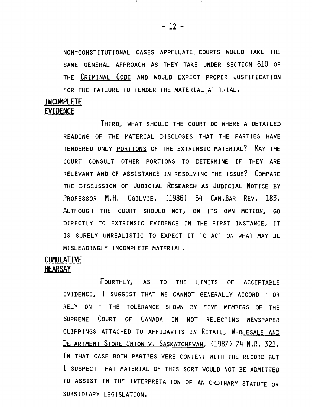NON-CONSTITUTIONAL CASES APPELLATE COURTS WOULD TAKE THE SAME GENERAL APPROACH AS THEY TAKE UNDER SECTION 610 OF THE CRIMINAL CODE AND WOULD EXPECT PROPER JUSTIFICATION FOR THE FAILURE TO TENDER THE MATERIAL AT TRIAL.

### INCUMPLETE EVIDENCE

THIRDJ WHAT SHOULD THE COURT DO WHERE A DETAILED READING OF THE MATERIAL DISCLOSES THAT THE PARTIES HAVE TENDERED ONLY PORTIONS OF THE EXTRINSIC MATERIAL? MAY THE COURT CONSULT OTHER PORTIONS TO DETERMINE IF THEY ARE RELEVANT AND OF ASSISTANCE IN RESOLVING THE ISSUE? COMPARE THE DISCUSSION OF JUDICIAL RESEARCH AS JUDICIAL NOTICE BY PROFESSOR M.H. OGILVIE, [1986] 64 CAN.BAR REV. 183. ALTHOUGH THE COURT SHOULD NOT, ON ITS OWN MOTION, GO DIRECTLY TO EXTRINSIC EVIDENCE IN THE FIRST INSTANCE, IT IS SURELY UNREALISTIC TO EXPECT IT TO ACT ON WHAT MAY BE MISLEADINGLY INCOMPLETE MATERIAL.

### CUMULATIVE **HEARSAY**

FOURTHLYJ AS TO THE LIMITS OF ACCEPTABLE EVIDENCE,  $l$  suggest that we cannot generally accord - or RELY ON - THE TOLERANCE SHOWN BY FIVE MEMBERS OF THE SUPREME COURT OF CANADA IN NOT REJECTING NEWSPAPER CLIPPINGS ATTACHED TO AFFIDAVITS IN RETAIL, WHOLESALE AND DEPARTMENT STORE UNION V. SASKATCHEWAN, (1987) 74 N.R. 321. IN THAT CASE BOTH PARTIES WERE CONTENT WITH THE RECORD BUT I SUSPECT THAT MATERIAL OF THIS SORT WOULD NOT BE ADMITTED TO ASSIST IN THE INTERPRETATION OF AN ORDINARY STATUTE OR SUBSIDIARY LEGISLATION.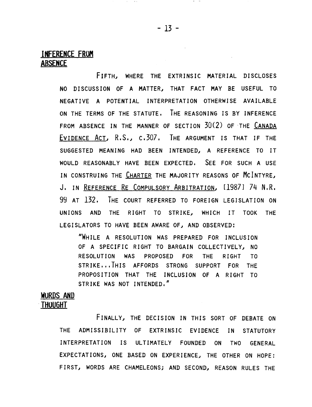### INFERENCE FROM ABSENCE

FIFTH. WHERE THE EXTRINSIC MATERIAL DISCLOSES NO DISCUSSION OF A MATTER, THAT FACT MAY BE USEFUL TO NEGATIVE A POTENTIAL INTERPRETATION OTHERWISE AVAILABLE ON THE TERMS OF THE STATUTE. THE REASONING IS BY INFERENCE FROM ABSENCE IN THE MANNER OF SECTION 30(2) OF "THE CANADA EVIDENCE ACT. R.S., c.307. THE ARGUMENT IS THAT IF THE SUGGESTED MEANING HAD BEEN INTENDED, A REFERENCE TO IT WOULD REASONABLY HAVE BEEN EXPECTED. SEE FOR SUCH A USE IN CONSTRUING THE CHARTER THE MAJORITY REASONS OF MCINTYRE, J. IN REFERENCE RE COMPULSORY ARBITRATION, [1987] 74 N.R. 99 AT 132. THE COURT REFERRED TO FOREIGN LEGISLATION ON UNIONS AND THE RIGHT TO STRIKE, WHICH IT TOOK THE LEGISLATORS TO HAVE BEEN AWARE OF, AND OBSERVED:

"WHILE A RESOLUTION WAS PREPARED FOR INCLUSION OF A SPECIFIC RIGHT TO BARGAIN COLLECTIVELY, NO RESOLUT ION WAS PROPOSED FOR THE RIGHT TO STRIKE...THIS AFFORDS STRONG SUPPORT FOR THE PROPOSITION THAT THE INCLUSION OF A RIGHT TO STRIKE WAS NOT INTENDED."

# WURDS AND

#### -THUUGHT

FINALLY, THE DECISION IN THIS SORT OF DEBATE ON THE ADMISSIBILITY OF EXTRINSIC EVIDENCE IN STATUTORY INTERPRETATION IS ULTIMATELY FOUNDED ON TWO GENERAL EXPECTATIONS, ONE BASED ON EXPERIENCE, THE OTHER ON HOPE: FIRST, WORDS ARE CHAMELEONS; AND SECOND, REASON RULES THE